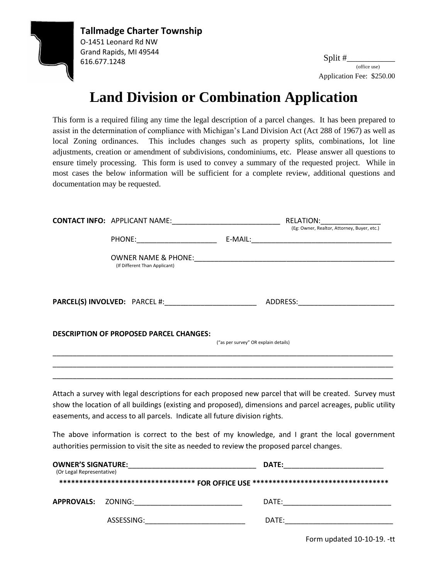

Split #\_\_\_\_\_\_\_\_\_\_\_ Application Fee: \$250.00 (office use)

## **Land Division or Combination Application**

This form is a required filing any time the legal description of a parcel changes. It has been prepared to assist in the determination of compliance with Michigan's Land Division Act (Act 288 of 1967) as well as local Zoning ordinances. This includes changes such as property splits, combinations, lot line adjustments, creation or amendment of subdivisions, condominiums, etc. Please answer all questions to ensure timely processing. This form is used to convey a summary of the requested project. While in most cases the below information will be sufficient for a complete review, additional questions and documentation may be requested.

|                           |                                                                                           |                                      | <b>RELATION:</b>                                                                                                                                                                                                     |  |
|---------------------------|-------------------------------------------------------------------------------------------|--------------------------------------|----------------------------------------------------------------------------------------------------------------------------------------------------------------------------------------------------------------------|--|
|                           |                                                                                           |                                      | (Eg: Owner, Realtor, Attorney, Buyer, etc.)                                                                                                                                                                          |  |
|                           | (If Different Than Applicant)                                                             |                                      |                                                                                                                                                                                                                      |  |
|                           |                                                                                           |                                      |                                                                                                                                                                                                                      |  |
|                           | <b>DESCRIPTION OF PROPOSED PARCEL CHANGES:</b>                                            | ("as per survey" OR explain details) |                                                                                                                                                                                                                      |  |
|                           |                                                                                           |                                      |                                                                                                                                                                                                                      |  |
|                           | easements, and access to all parcels. Indicate all future division rights.                |                                      | Attach a survey with legal descriptions for each proposed new parcel that will be created. Survey must<br>show the location of all buildings (existing and proposed), dimensions and parcel acreages, public utility |  |
|                           | authorities permission to visit the site as needed to review the proposed parcel changes. |                                      | The above information is correct to the best of my knowledge, and I grant the local government                                                                                                                       |  |
| (Or Legal Representative) |                                                                                           |                                      | ********************************** FOR OFFICE USE ********************************                                                                                                                                   |  |
|                           |                                                                                           |                                      |                                                                                                                                                                                                                      |  |
|                           |                                                                                           |                                      |                                                                                                                                                                                                                      |  |

Form updated 10-10-19. -tt